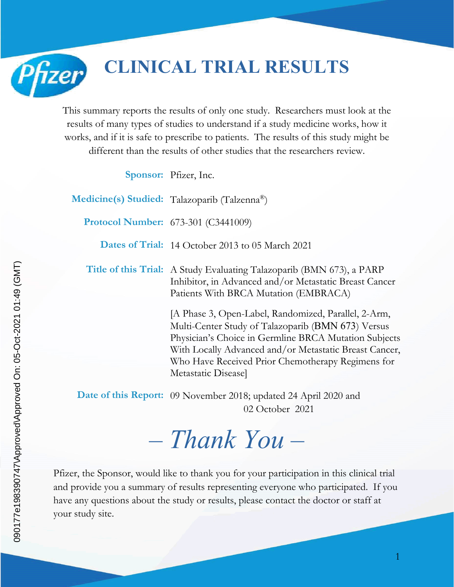**CLINICAL TRIAL RESULTS**

This summary reports the results of only one study. Researchers must look at the results of many types of studies to understand if a study medicine works, how it works, and if it is safe to prescribe to patients. The results of this study might be different than the results of other studies that the researchers review.

**Sponsor:** Pfizer, Inc.

**Medicine(s) Studied:** Talazoparib (Talzenna®) **Protocol Number:** 673-301 (C3441009) **Dates of Trial:** 14 October 2013 to 05 March 2021 **Title of this Trial:** A Study Evaluating Talazoparib (BMN 673), a PARP Inhibitor, in Advanced and/or Metastatic Breast Cancer Patients With BRCA Mutation (EMBRACA) [A Phase 3, Open-Label, Randomized, Parallel, 2-Arm, Multi-Center Study of Talazoparib (BMN 673) Versus Physician's Choice in Germline BRCA Mutation Subjects With Locally Advanced and/or Metastatic Breast Cancer, Who Have Received Prior Chemotherapy Regimens for

**Date of this Report:** 09 November 2018; updated 24 April 2020 and 02 October 2021

Metastatic Disease]

# *– Thank You –*

Pfizer, the Sponsor, would like to thank you for your participation in this clinical trial and provide you a summary of results representing everyone who participated. If you have any questions about the study or results, please contact the doctor or staff at your study site.

Pfizer

1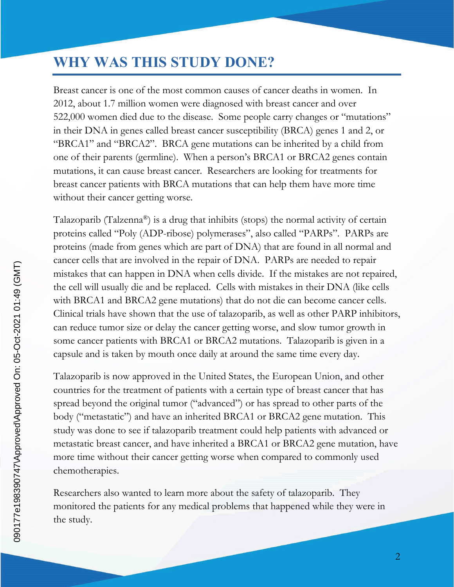## **WHY WAS THIS STUDY DONE?**

Breast cancer is one of the most common causes of cancer deaths in women. In 2012, about 1.7 million women were diagnosed with breast cancer and over 522,000 women died due to the disease. Some people carry changes or "mutations" in their DNA in genes called breast cancer susceptibility (BRCA) genes 1 and 2, or "BRCA1" and "BRCA2". BRCA gene mutations can be inherited by a child from one of their parents (germline). When a person's BRCA1 or BRCA2 genes contain mutations, it can cause breast cancer. Researchers are looking for treatments for breast cancer patients with BRCA mutations that can help them have more time without their cancer getting worse.

Talazoparib (Talzenna®) is a drug that inhibits (stops) the normal activity of certain proteins called "Poly (ADP-ribose) polymerases", also called "PARPs". PARPs are proteins (made from genes which are part of DNA) that are found in all normal and cancer cells that are involved in the repair of DNA. PARPs are needed to repair mistakes that can happen in DNA when cells divide. If the mistakes are not repaired, the cell will usually die and be replaced. Cells with mistakes in their DNA (like cells with BRCA1 and BRCA2 gene mutations) that do not die can become cancer cells. Clinical trials have shown that the use of talazoparib, as well as other PARP inhibitors, can reduce tumor size or delay the cancer getting worse, and slow tumor growth in some cancer patients with BRCA1 or BRCA2 mutations. Talazoparib is given in a capsule and is taken by mouth once daily at around the same time every day.

Talazoparib is now approved in the United States, the European Union, and other countries for the treatment of patients with a certain type of breast cancer that has spread beyond the original tumor ("advanced") or has spread to other parts of the body ("metastatic") and have an inherited BRCA1 or BRCA2 gene mutation. This study was done to see if talazoparib treatment could help patients with advanced or metastatic breast cancer, and have inherited a BRCA1 or BRCA2 gene mutation, have more time without their cancer getting worse when compared to commonly used chemotherapies.

Researchers also wanted to learn more about the safety of talazoparib. They monitored the patients for any medical problems that happened while they were in the study.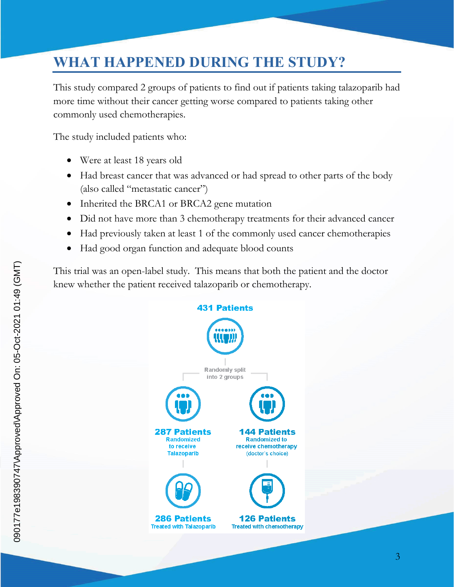# **WHAT HAPPENED DURING THE STUDY?**

This study compared 2 groups of patients to find out if patients taking talazoparib had more time without their cancer getting worse compared to patients taking other commonly used chemotherapies.

The study included patients who:

- Were at least 18 years old
- Had breast cancer that was advanced or had spread to other parts of the body (also called "metastatic cancer")
- Inherited the BRCA1 or BRCA2 gene mutation
- Did not have more than 3 chemotherapy treatments for their advanced cancer
- Had previously taken at least 1 of the commonly used cancer chemotherapies
- Had good organ function and adequate blood counts

This trial was an open-label study. This means that both the patient and the doctor knew whether the patient received talazoparib or chemotherapy.

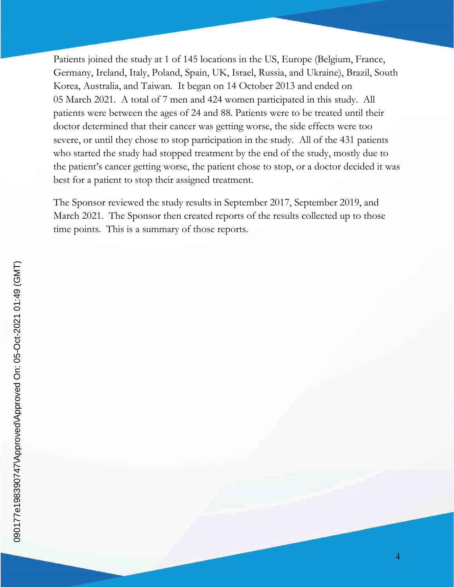Patients joined the study at 1 of 145 locations in the US, Europe (Belgium, France, Germany, Ireland, Italy, Poland, Spain, UK, Israel, Russia, and Ukraine), Brazil, South Korea, Australia, and Taiwan. It began on 14 October 2013 and ended on 05 March 2021. A total of 7 men and 424 women participated in this study. All patients were between the ages of 24 and 88. Patients were to be treated until their doctor determined that their cancer was getting worse, the side effects were too severe, or until they chose to stop participation in the study. All of the 431 patients who started the study had stopped treatment by the end of the study, mostly due to the patient's cancer getting worse, the patient chose to stop, or a doctor decided it was best for a patient to stop their assigned treatment.

The Sponsor reviewed the study results in September 2017, September 2019, and March 2021. The Sponsor then created reports of the results collected up to those time points. This is a summary of those reports.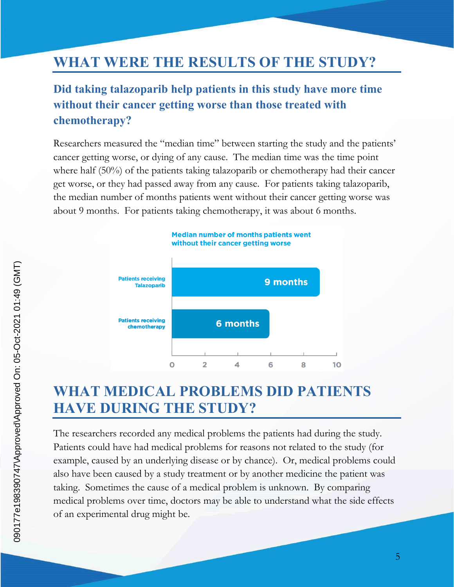## **WHAT WERE THE RESULTS OF THE STUDY?**

#### **Did taking talazoparib help patients in this study have more time without their cancer getting worse than those treated with chemotherapy?**

Researchers measured the "median time" between starting the study and the patients' cancer getting worse, or dying of any cause. The median time was the time point where half (50%) of the patients taking talazoparib or chemotherapy had their cancer get worse, or they had passed away from any cause. For patients taking talazoparib, the median number of months patients went without their cancer getting worse was about 9 months. For patients taking chemotherapy, it was about 6 months.



## **WHAT MEDICAL PROBLEMS DID PATIENTS HAVE DURING THE STUDY?**

The researchers recorded any medical problems the patients had during the study. Patients could have had medical problems for reasons not related to the study (for example, caused by an underlying disease or by chance). Or, medical problems could also have been caused by a study treatment or by another medicine the patient was taking. Sometimes the cause of a medical problem is unknown. By comparing medical problems over time, doctors may be able to understand what the side effects of an experimental drug might be.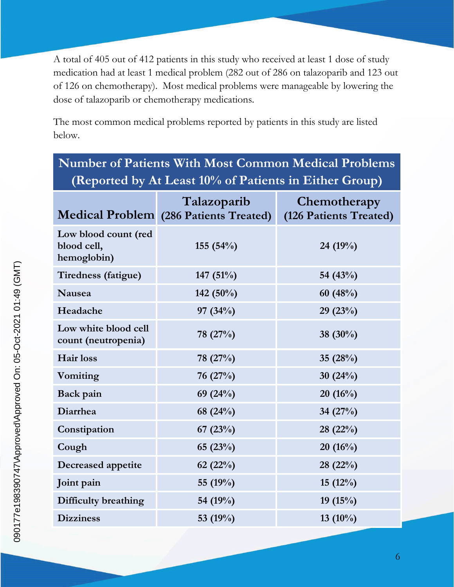A total of 405 out of 412 patients in this study who received at least 1 dose of study medication had at least 1 medical problem (282 out of 286 on talazoparib and 123 out of 126 on chemotherapy). Most medical problems were manageable by lowering the dose of talazoparib or chemotherapy medications.

The most common medical problems reported by patients in this study are listed below.

| <b>Number of Patients With Most Common Medical Problems</b> |                                                       |                                        |  |  |
|-------------------------------------------------------------|-------------------------------------------------------|----------------------------------------|--|--|
| (Reported by At Least 10% of Patients in Either Group)      |                                                       |                                        |  |  |
|                                                             | Talazoparib<br>Medical Problem (286 Patients Treated) | Chemotherapy<br>(126 Patients Treated) |  |  |
| Low blood count (red<br>blood cell,<br>hemoglobin)          | 155 $(54%)$                                           | 24 (19%)                               |  |  |
| Tiredness (fatigue)                                         | 147 $(51\%)$                                          | 54 $(43%)$                             |  |  |
| <b>Nausea</b>                                               | 142 (50%)                                             | 60 $(48%)$                             |  |  |
| Headache                                                    | 97 $(34%)$                                            | 29(23%)                                |  |  |
| Low white blood cell<br>count (neutropenia)                 | 78 (27%)                                              | 38 $(30\%)$                            |  |  |
| Hair loss                                                   | 78 (27%)                                              | 35 $(28%)$                             |  |  |
| Vomiting                                                    | 76 $(27%)$                                            | 30 $(24%)$                             |  |  |
| Back pain                                                   | 69 $(24%)$                                            | 20(16%)                                |  |  |
| Diarrhea                                                    | 68 (24%)                                              | 34 $(27%)$                             |  |  |
| Constipation                                                | 67 $(23%)$                                            | 28(22%)                                |  |  |
| Cough                                                       | 65(23%)                                               | $20(16\%)$                             |  |  |
| <b>Decreased appetite</b>                                   | 62 $(22%)$                                            | 28(22%)                                |  |  |
| Joint pain                                                  | 55 (19%)                                              | 15(12%)                                |  |  |
| Difficulty breathing                                        | 54 (19%)                                              | 19 $(15%)$                             |  |  |
| <b>Dizziness</b>                                            | 53 $(19%)$                                            | 13 $(10\%)$                            |  |  |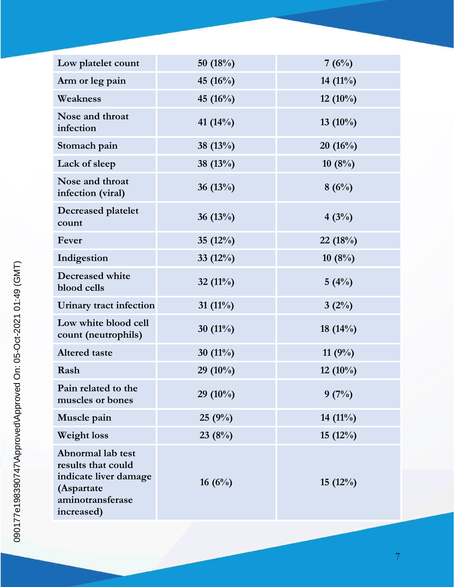| Low platelet count                                                                                               | 50 $(18%)$  | 7(6%)       |
|------------------------------------------------------------------------------------------------------------------|-------------|-------------|
| Arm or leg pain                                                                                                  | 45 (16%)    | 14 $(11\%)$ |
| Weakness                                                                                                         | 45 (16%)    | $12(10\%)$  |
| Nose and throat<br>infection                                                                                     | 41 $(14\%)$ | 13 $(10\%)$ |
| Stomach pain                                                                                                     | 38 (13%)    | 20(16%)     |
| Lack of sleep                                                                                                    | 38 (13%)    | 10(8%)      |
| Nose and throat<br>infection (viral)                                                                             | 36 $(13%)$  | 8(6%)       |
| <b>Decreased platelet</b><br>count                                                                               | 36 $(13%)$  | 4(3%)       |
| Fever                                                                                                            | 35 $(12\%)$ | 22(18%)     |
| Indigestion                                                                                                      | 33 $(12\%)$ | 10(8%)      |
| Decreased white<br>blood cells                                                                                   | 32 $(11\%)$ | 5(4%)       |
| Urinary tract infection                                                                                          | 31 $(11\%)$ | $3(2\%)$    |
| Low white blood cell<br>count (neutrophils)                                                                      | 30 $(11\%)$ | 18 $(14%)$  |
| <b>Altered</b> taste                                                                                             | 30 $(11\%)$ | 11 $(9%)$   |
| Rash                                                                                                             | 29 $(10\%)$ | 12 $(10\%)$ |
| Pain related to the<br>muscles or bones                                                                          | $29(10\%)$  | 9(7%)       |
| Muscle pain                                                                                                      | 25(9%)      | $14(11\%)$  |
| <b>Weight loss</b>                                                                                               | 23(8%)      | 15(12%)     |
| Abnormal lab test<br>results that could<br>indicate liver damage<br>(Aspartate<br>aminotransferase<br>increased) | 16(6%)      | 15(12%)     |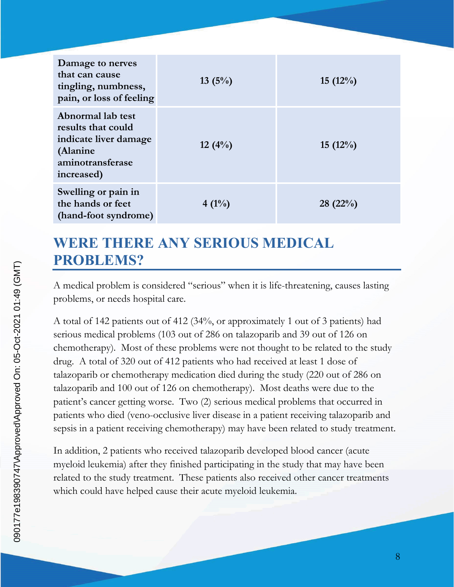| Damage to nerves<br>that can cause<br>tingling, numbness,<br>pain, or loss of feeling                          | $13(5\%)$ | 15(12%) |
|----------------------------------------------------------------------------------------------------------------|-----------|---------|
| Abnormal lab test<br>results that could<br>indicate liver damage<br>(Alanine<br>aminotransferase<br>increased) | $12(4\%)$ | 15(12%) |
| Swelling or pain in<br>the hands or feet<br>(hand-foot syndrome)                                               | $4(1\%)$  | 28(22%) |

## **WERE THERE ANY SERIOUS MEDICAL PROBLEMS?**

A medical problem is considered "serious" when it is life-threatening, causes lasting problems, or needs hospital care.

A total of 142 patients out of 412 (34%, or approximately 1 out of 3 patients) had serious medical problems (103 out of 286 on talazoparib and 39 out of 126 on chemotherapy). Most of these problems were not thought to be related to the study drug. A total of 320 out of 412 patients who had received at least 1 dose of talazoparib or chemotherapy medication died during the study (220 out of 286 on talazoparib and 100 out of 126 on chemotherapy). Most deaths were due to the patient's cancer getting worse. Two (2) serious medical problems that occurred in patients who died (veno-occlusive liver disease in a patient receiving talazoparib and sepsis in a patient receiving chemotherapy) may have been related to study treatment.

In addition, 2 patients who received talazoparib developed blood cancer (acute myeloid leukemia) after they finished participating in the study that may have been related to the study treatment. These patients also received other cancer treatments which could have helped cause their acute myeloid leukemia.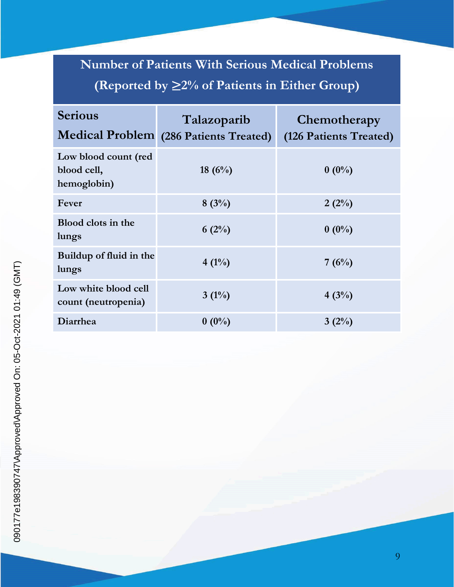# **Number of Patients With Serious Medical Problems (Reported by** ≥**2% of Patients in Either Group)**

| <b>Serious</b>                                     | Talazoparib<br>Medical Problem (286 Patients Treated) | Chemotherapy<br>(126 Patients Treated) |
|----------------------------------------------------|-------------------------------------------------------|----------------------------------------|
| Low blood count (red<br>blood cell,<br>hemoglobin) | 18 $(6\%)$                                            | $0(0\%)$                               |
| Fever                                              | $8(3\%)$                                              | $2(2\%)$                               |
| Blood clots in the<br>lungs                        | $6(2\%)$                                              | $0(0\%)$                               |
| Buildup of fluid in the<br>lungs                   | $4(1\%)$                                              | 7(6%)                                  |
| Low white blood cell<br>count (neutropenia)        | $3(1\%)$                                              | $4(3\%)$                               |
| Diarrhea                                           | $0(0\%)$                                              | $3(2\%)$                               |